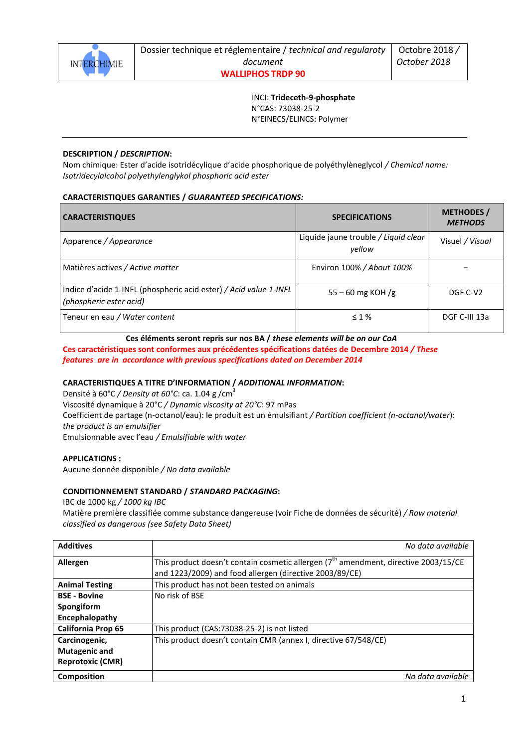

 INCI: **Trideceth-9-phosphate** N°CAS: 73038-25-2 N°EINECS/ELINCS: Polymer

## **DESCRIPTION /** *DESCRIPTION***:**

Nom chimique: Ester d'acide isotridécylique d'acide phosphorique de polyéthylèneglycol */ Chemical name: Isotridecylalcohol polyethylenglykol phosphoric acid ester*

## **CARACTERISTIQUES GARANTIES /** *GUARANTEED SPECIFICATIONS:*

| <b>CARACTERISTIQUES</b>                                                                      | <b>SPECIFICATIONS</b>                          | <b>METHODES /</b><br><b>METHODS</b> |
|----------------------------------------------------------------------------------------------|------------------------------------------------|-------------------------------------|
| Apparence / Appearance                                                                       | Liquide jaune trouble / Liquid clear<br>vellow | Visuel / Visual                     |
| Matières actives / Active matter                                                             | Environ 100% / About 100%                      |                                     |
| Indice d'acide 1-INFL (phospheric acid ester) / Acid value 1-INFL<br>(phospheric ester acid) | $55 - 60$ mg KOH /g                            | DGF C-V <sub>2</sub>                |
| Teneur en eau / Water content                                                                | $\leq 1\%$                                     | DGF C-III 13a                       |

## **Ces éléments seront repris sur nos BA /** *these elements will be on our CoA*

**Ces caractéristiques sont conformes aux précédentes spécifications datées de Decembre 2014** */ These features are in accordance with previous specifications dated on December 2014*

#### **CARACTERISTIQUES A TITRE D'INFORMATION /** *ADDITIONAL INFORMATION***:**

Densité à 60°C */ Density at 60°C*: ca. 1.04 g /cm<sup>3</sup> Viscosité dynamique à 20°C */ Dynamic viscosity at 20°C*: 97 mPas Coefficient de partage (n-octanol/eau): le produit est un émulsifiant */ Partition coefficient (n-octanol/water*): *the product is an emulsifier* Emulsionnable avec l'eau */ Emulsifiable with water*

#### **APPLICATIONS :**

Aucune donnée disponible */ No data available*

## **CONDITIONNEMENT STANDARD /** *STANDARD PACKAGING***:**

IBC de 1000 kg */ 1000 kg IBC*

Matière première classifiée comme substance dangereuse (voir Fiche de données de sécurité) */ Raw material classified as dangerous (see Safety Data Sheet)*

| <b>Additives</b>          | No data available                                                                               |
|---------------------------|-------------------------------------------------------------------------------------------------|
| Allergen                  | This product doesn't contain cosmetic allergen (7 <sup>th</sup> amendment, directive 2003/15/CE |
|                           | and 1223/2009) and food allergen (directive 2003/89/CE)                                         |
| <b>Animal Testing</b>     | This product has not been tested on animals                                                     |
| <b>BSE - Bovine</b>       | No risk of BSE                                                                                  |
| Spongiform                |                                                                                                 |
| Encephalopathy            |                                                                                                 |
| <b>California Prop 65</b> | This product (CAS:73038-25-2) is not listed                                                     |
| Carcinogenic,             | This product doesn't contain CMR (annex I, directive 67/548/CE)                                 |
| <b>Mutagenic and</b>      |                                                                                                 |
| <b>Reprotoxic (CMR)</b>   |                                                                                                 |
| <b>Composition</b>        | No data available                                                                               |